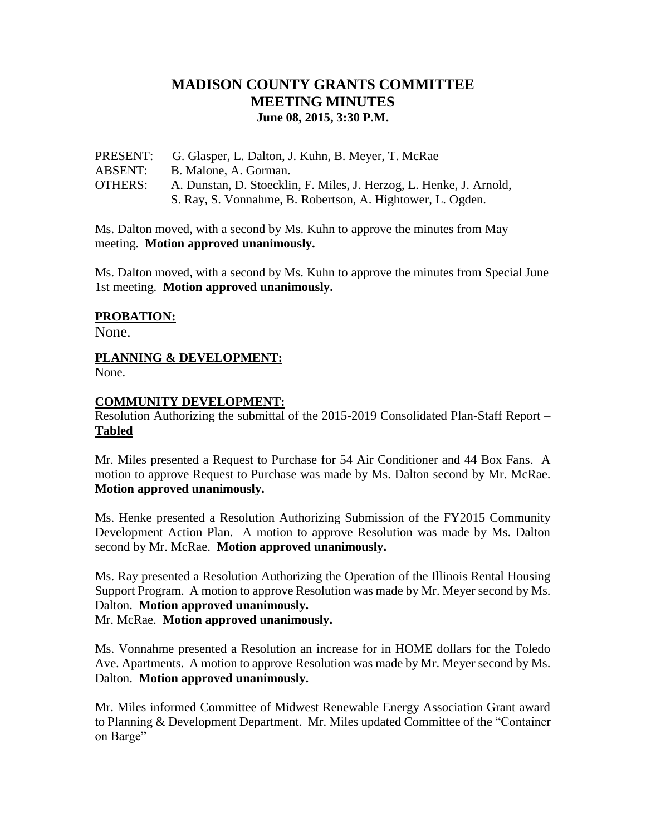# **MADISON COUNTY GRANTS COMMITTEE MEETING MINUTES June 08, 2015, 3:30 P.M.**

| PRESENT:       | G. Glasper, L. Dalton, J. Kuhn, B. Meyer, T. McRae                  |
|----------------|---------------------------------------------------------------------|
| <b>ABSENT:</b> | B. Malone, A. Gorman.                                               |
| <b>OTHERS:</b> | A. Dunstan, D. Stoecklin, F. Miles, J. Herzog, L. Henke, J. Arnold, |
|                | S. Ray, S. Vonnahme, B. Robertson, A. Hightower, L. Ogden.          |

Ms. Dalton moved, with a second by Ms. Kuhn to approve the minutes from May meeting. **Motion approved unanimously.**

Ms. Dalton moved, with a second by Ms. Kuhn to approve the minutes from Special June 1st meeting. **Motion approved unanimously.**

## **PROBATION:**

None.

#### **PLANNING & DEVELOPMENT:**  None.

### **COMMUNITY DEVELOPMENT:**

Resolution Authorizing the submittal of the 2015-2019 Consolidated Plan-Staff Report – **Tabled**

Mr. Miles presented a Request to Purchase for 54 Air Conditioner and 44 Box Fans. A motion to approve Request to Purchase was made by Ms. Dalton second by Mr. McRae. **Motion approved unanimously.**

Ms. Henke presented a Resolution Authorizing Submission of the FY2015 Community Development Action Plan. A motion to approve Resolution was made by Ms. Dalton second by Mr. McRae. **Motion approved unanimously.**

Ms. Ray presented a Resolution Authorizing the Operation of the Illinois Rental Housing Support Program. A motion to approve Resolution was made by Mr. Meyer second by Ms. Dalton. **Motion approved unanimously.** Mr. McRae. **Motion approved unanimously.**

Ms. Vonnahme presented a Resolution an increase for in HOME dollars for the Toledo Ave. Apartments. A motion to approve Resolution was made by Mr. Meyer second by Ms. Dalton. **Motion approved unanimously.**

Mr. Miles informed Committee of Midwest Renewable Energy Association Grant award to Planning & Development Department. Mr. Miles updated Committee of the "Container on Barge"